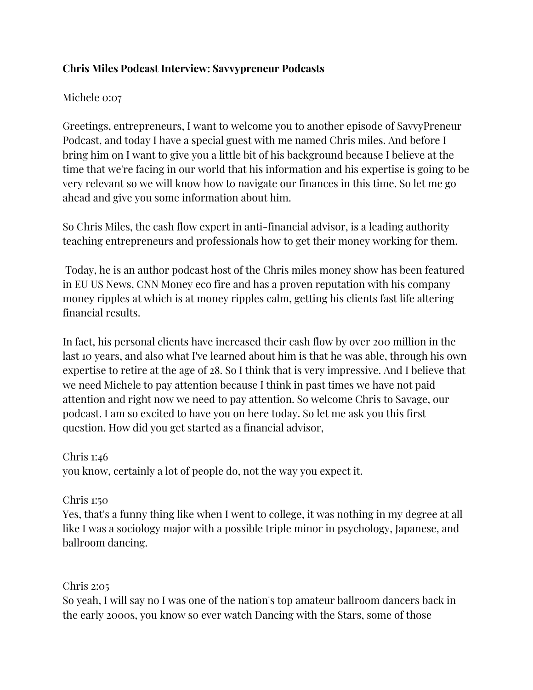# **Chris Miles Podcast Interview: Savvypreneur Podcasts**

## Michele 0:07

Greetings, entrepreneurs, I want to welcome you to another episode of SavvyPreneur Podcast, and today I have a special guest with me named Chris miles. And before I bring him on I want to give you a little bit of his background because I believe at the time that we're facing in our world that his information and his expertise is going to be very relevant so we will know how to navigate our finances in this time. So let me go ahead and give you some information about him.

So Chris Miles, the cash flow expert in anti-financial advisor, is a leading authority teaching entrepreneurs and professionals how to get their money working for them.

Today, he is an author podcast host of the Chris miles money show has been featured in EU US News, CNN Money eco fire and has a proven reputation with his company money ripples at which is at money ripples calm, getting his clients fast life altering financial results.

In fact, his personal clients have increased their cash flow by over 200 million in the last 10 years, and also what I've learned about him is that he was able, through his own expertise to retire at the age of 28. So I think that is very impressive. And I believe that we need Michele to pay attention because I think in past times we have not paid attention and right now we need to pay attention. So welcome Chris to Savage, our podcast. I am so excited to have you on here today. So let me ask you this first question. How did you get started as a financial advisor,

Chris 1:46

you know, certainly a lot of people do, not the way you expect it.

Chris 1:50

Yes, that's a funny thing like when I went to college, it was nothing in my degree at all like I was a sociology major with a possible triple minor in psychology, Japanese, and ballroom dancing.

Chris 2:05

So yeah, I will say no I was one of the nation's top amateur ballroom dancers back in the early 2000s, you know so ever watch Dancing with the Stars, some of those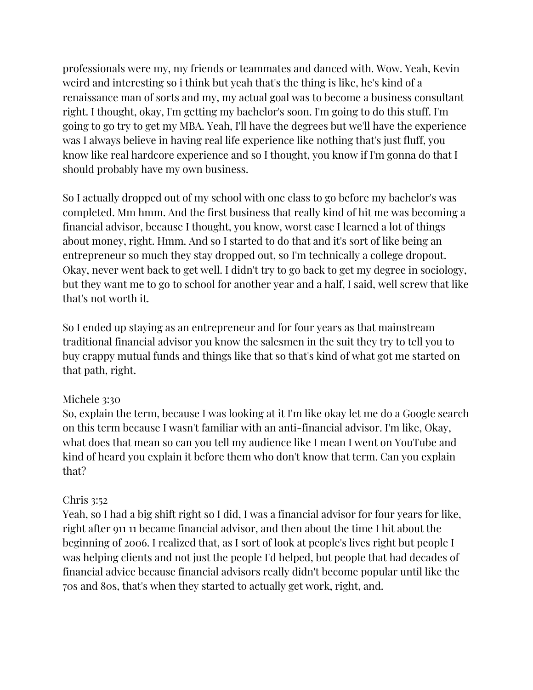professionals were my, my friends or teammates and danced with. Wow. Yeah, Kevin weird and interesting so i think but yeah that's the thing is like, he's kind of a renaissance man of sorts and my, my actual goal was to become a business consultant right. I thought, okay, I'm getting my bachelor's soon. I'm going to do this stuff. I'm going to go try to get my MBA. Yeah, I'll have the degrees but we'll have the experience was I always believe in having real life experience like nothing that's just fluff, you know like real hardcore experience and so I thought, you know if I'm gonna do that I should probably have my own business.

So I actually dropped out of my school with one class to go before my bachelor's was completed. Mm hmm. And the first business that really kind of hit me was becoming a financial advisor, because I thought, you know, worst case I learned a lot of things about money, right. Hmm. And so I started to do that and it's sort of like being an entrepreneur so much they stay dropped out, so I'm technically a college dropout. Okay, never went back to get well. I didn't try to go back to get my degree in sociology, but they want me to go to school for another year and a half, I said, well screw that like that's not worth it.

So I ended up staying as an entrepreneur and for four years as that mainstream traditional financial advisor you know the salesmen in the suit they try to tell you to buy crappy mutual funds and things like that so that's kind of what got me started on that path, right.

### Michele 3:30

So, explain the term, because I was looking at it I'm like okay let me do a Google search on this term because I wasn't familiar with an anti-financial advisor. I'm like, Okay, what does that mean so can you tell my audience like I mean I went on YouTube and kind of heard you explain it before them who don't know that term. Can you explain that?

### Chris 3:52

Yeah, so I had a big shift right so I did, I was a financial advisor for four years for like, right after 911 11 became financial advisor, and then about the time I hit about the beginning of 2006. I realized that, as I sort of look at people's lives right but people I was helping clients and not just the people I'd helped, but people that had decades of financial advice because financial advisors really didn't become popular until like the 70s and 80s, that's when they started to actually get work, right, and.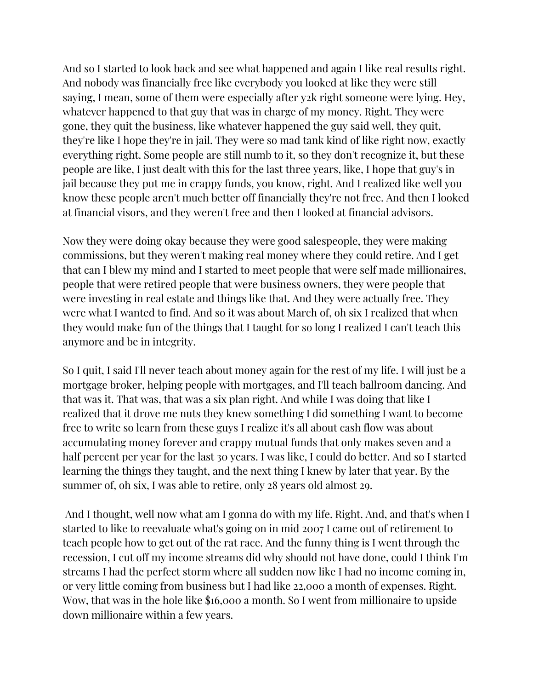And so I started to look back and see what happened and again I like real results right. And nobody was financially free like everybody you looked at like they were still saying, I mean, some of them were especially after y2k right someone were lying. Hey, whatever happened to that guy that was in charge of my money. Right. They were gone, they quit the business, like whatever happened the guy said well, they quit, they're like I hope they're in jail. They were so mad tank kind of like right now, exactly everything right. Some people are still numb to it, so they don't recognize it, but these people are like, I just dealt with this for the last three years, like, I hope that guy's in jail because they put me in crappy funds, you know, right. And I realized like well you know these people aren't much better off financially they're not free. And then I looked at financial visors, and they weren't free and then I looked at financial advisors.

Now they were doing okay because they were good salespeople, they were making commissions, but they weren't making real money where they could retire. And I get that can I blew my mind and I started to meet people that were self made millionaires, people that were retired people that were business owners, they were people that were investing in real estate and things like that. And they were actually free. They were what I wanted to find. And so it was about March of, oh six I realized that when they would make fun of the things that I taught for so long I realized I can't teach this anymore and be in integrity.

So I quit, I said I'll never teach about money again for the rest of my life. I will just be a mortgage broker, helping people with mortgages, and I'll teach ballroom dancing. And that was it. That was, that was a six plan right. And while I was doing that like I realized that it drove me nuts they knew something I did something I want to become free to write so learn from these guys I realize it's all about cash flow was about accumulating money forever and crappy mutual funds that only makes seven and a half percent per year for the last 30 years. I was like, I could do better. And so I started learning the things they taught, and the next thing I knew by later that year. By the summer of, oh six, I was able to retire, only 28 years old almost 29.

And I thought, well now what am I gonna do with my life. Right. And, and that's when I started to like to reevaluate what's going on in mid 2007 I came out of retirement to teach people how to get out of the rat race. And the funny thing is I went through the recession, I cut off my income streams did why should not have done, could I think I'm streams I had the perfect storm where all sudden now like I had no income coming in, or very little coming from business but I had like 22,000 a month of expenses. Right. Wow, that was in the hole like \$16,000 a month. So I went from millionaire to upside down millionaire within a few years.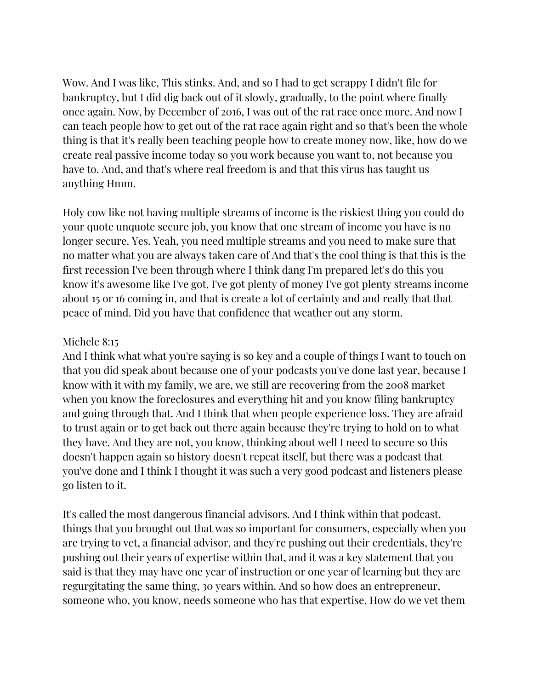Wow. And I was like, This stinks. And, and so I had to get scrappy I didn't file for bankruptcy, but I did dig back out of it slowly, gradually, to the point where finally once again. Now, by December of 2016, I was out of the rat race once more. And now I can teach people how to get out of the rat race again right and so that's been the whole thing is that it's really been teaching people how to create money now, like, how do we create real passive income today so you work because you want to, not because you have to. And, and that's where real freedom is and that this virus has taught us anything Hmm.

Holy cow like not having multiple streams of income is the riskiest thing you could do your quote unquote secure job, you know that one stream of income you have is no longer secure. Yes. Yeah, you need multiple streams and you need to make sure that no matter what you are always taken care of And that's the cool thing is that this is the first recession I've been through where I think dang I'm prepared let's do this you know it's awesome like I've got, I've got plenty of money I've got plenty streams income about 15 or 16 coming in, and that is create a lot of certainty and and really that that peace of mind. Did you have that confidence that weather out any storm.

#### Michele 8:15

And I think what what you're saying is so key and a couple of things I want to touch on that you did speak about because one of your podcasts you've done last year, because I know with it with my family, we are, we still are recovering from the 2008 market when you know the foreclosures and everything hit and you know filing bankruptcy and going through that. And I think that when people experience loss. They are afraid to trust again or to get back out there again because they're trying to hold on to what they have. And they are not, you know, thinking about well I need to secure so this doesn't happen again so history doesn't repeat itself, but there was a podcast that you've done and I think I thought it was such a very good podcast and listeners please go listen to it.

It's called the most dangerous financial advisors. And I think within that podcast, things that you brought out that was so important for consumers, especially when you are trying to vet, a financial advisor, and they're pushing out their credentials, they're pushing out their years of expertise within that, and it was a key statement that you said is that they may have one year of instruction or one year of learning but they are regurgitating the same thing, 30 years within. And so how does an entrepreneur, someone who, you know, needs someone who has that expertise, How do we vet them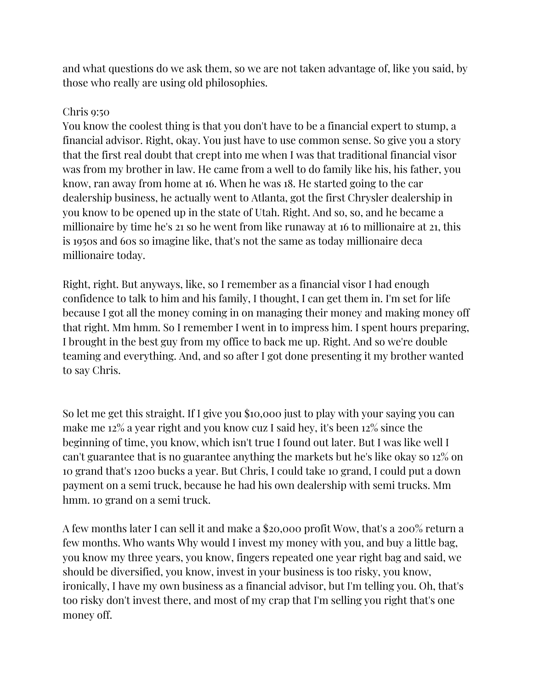and what questions do we ask them, so we are not taken advantage of, like you said, by those who really are using old philosophies.

# Chris 9:50

You know the coolest thing is that you don't have to be a financial expert to stump, a financial advisor. Right, okay. You just have to use common sense. So give you a story that the first real doubt that crept into me when I was that traditional financial visor was from my brother in law. He came from a well to do family like his, his father, you know, ran away from home at 16. When he was 18. He started going to the car dealership business, he actually went to Atlanta, got the first Chrysler dealership in you know to be opened up in the state of Utah. Right. And so, so, and he became a millionaire by time he's 21 so he went from like runaway at 16 to millionaire at 21, this is 1950s and 60s so imagine like, that's not the same as today millionaire deca millionaire today.

Right, right. But anyways, like, so I remember as a financial visor I had enough confidence to talk to him and his family, I thought, I can get them in. I'm set for life because I got all the money coming in on managing their money and making money off that right. Mm hmm. So I remember I went in to impress him. I spent hours preparing, I brought in the best guy from my office to back me up. Right. And so we're double teaming and everything. And, and so after I got done presenting it my brother wanted to say Chris.

So let me get this straight. If I give you \$10,000 just to play with your saying you can make me 12% a year right and you know cuz I said hey, it's been 12% since the beginning of time, you know, which isn't true I found out later. But I was like well I can't guarantee that is no guarantee anything the markets but he's like okay so 12% on 10 grand that's 1200 bucks a year. But Chris, I could take 10 grand, I could put a down payment on a semi truck, because he had his own dealership with semi trucks. Mm hmm. 10 grand on a semi truck.

A few months later I can sell it and make a \$20,000 profit Wow, that's a 200% return a few months. Who wants Why would I invest my money with you, and buy a little bag, you know my three years, you know, fingers repeated one year right bag and said, we should be diversified, you know, invest in your business is too risky, you know, ironically, I have my own business as a financial advisor, but I'm telling you. Oh, that's too risky don't invest there, and most of my crap that I'm selling you right that's one money off.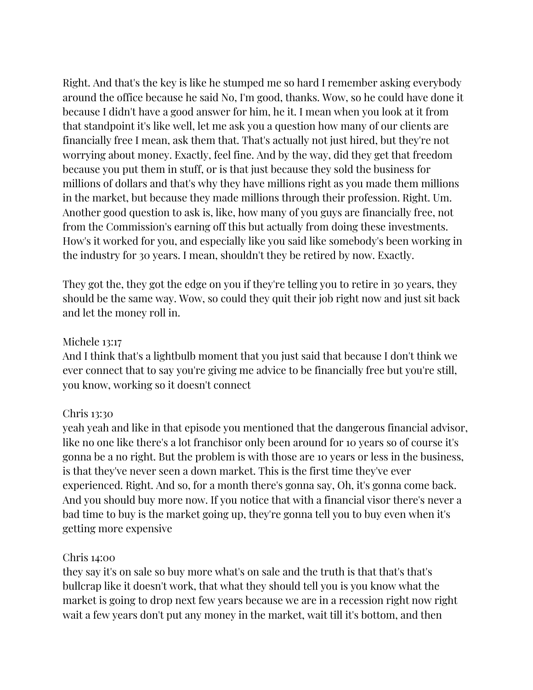Right. And that's the key is like he stumped me so hard I remember asking everybody around the office because he said No, I'm good, thanks. Wow, so he could have done it because I didn't have a good answer for him, he it. I mean when you look at it from that standpoint it's like well, let me ask you a question how many of our clients are financially free I mean, ask them that. That's actually not just hired, but they're not worrying about money. Exactly, feel fine. And by the way, did they get that freedom because you put them in stuff, or is that just because they sold the business for millions of dollars and that's why they have millions right as you made them millions in the market, but because they made millions through their profession. Right. Um. Another good question to ask is, like, how many of you guys are financially free, not from the Commission's earning off this but actually from doing these investments. How's it worked for you, and especially like you said like somebody's been working in the industry for 30 years. I mean, shouldn't they be retired by now. Exactly.

They got the, they got the edge on you if they're telling you to retire in 30 years, they should be the same way. Wow, so could they quit their job right now and just sit back and let the money roll in.

#### Michele 13:17

And I think that's a lightbulb moment that you just said that because I don't think we ever connect that to say you're giving me advice to be financially free but you're still, you know, working so it doesn't connect

### Chris 13:30

yeah yeah and like in that episode you mentioned that the dangerous financial advisor, like no one like there's a lot franchisor only been around for 10 years so of course it's gonna be a no right. But the problem is with those are 10 years or less in the business, is that they've never seen a down market. This is the first time they've ever experienced. Right. And so, for a month there's gonna say, Oh, it's gonna come back. And you should buy more now. If you notice that with a financial visor there's never a bad time to buy is the market going up, they're gonna tell you to buy even when it's getting more expensive

#### Chris 14:00

they say it's on sale so buy more what's on sale and the truth is that that's that's bullcrap like it doesn't work, that what they should tell you is you know what the market is going to drop next few years because we are in a recession right now right wait a few years don't put any money in the market, wait till it's bottom, and then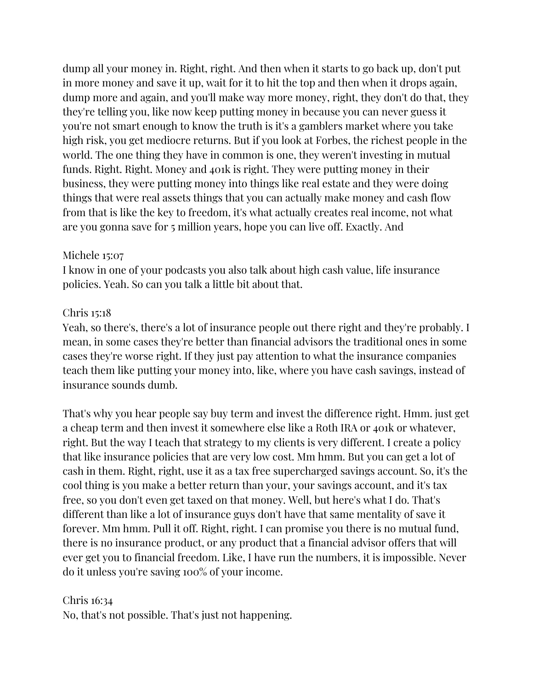dump all your money in. Right, right. And then when it starts to go back up, don't put in more money and save it up, wait for it to hit the top and then when it drops again, dump more and again, and you'll make way more money, right, they don't do that, they they're telling you, like now keep putting money in because you can never guess it you're not smart enough to know the truth is it's a gamblers market where you take high risk, you get mediocre returns. But if you look at Forbes, the richest people in the world. The one thing they have in common is one, they weren't investing in mutual funds. Right. Right. Money and 401k is right. They were putting money in their business, they were putting money into things like real estate and they were doing things that were real assets things that you can actually make money and cash flow from that is like the key to freedom, it's what actually creates real income, not what are you gonna save for 5 million years, hope you can live off. Exactly. And

# Michele 15:07

I know in one of your podcasts you also talk about high cash value, life insurance policies. Yeah. So can you talk a little bit about that.

# Chris 15:18

Yeah, so there's, there's a lot of insurance people out there right and they're probably. I mean, in some cases they're better than financial advisors the traditional ones in some cases they're worse right. If they just pay attention to what the insurance companies teach them like putting your money into, like, where you have cash savings, instead of insurance sounds dumb.

That's why you hear people say buy term and invest the difference right. Hmm. just get a cheap term and then invest it somewhere else like a Roth IRA or 401k or whatever, right. But the way I teach that strategy to my clients is very different. I create a policy that like insurance policies that are very low cost. Mm hmm. But you can get a lot of cash in them. Right, right, use it as a tax free supercharged savings account. So, it's the cool thing is you make a better return than your, your savings account, and it's tax free, so you don't even get taxed on that money. Well, but here's what I do. That's different than like a lot of insurance guys don't have that same mentality of save it forever. Mm hmm. Pull it off. Right, right. I can promise you there is no mutual fund, there is no insurance product, or any product that a financial advisor offers that will ever get you to financial freedom. Like, I have run the numbers, it is impossible. Never do it unless you're saving 100% of your income.

Chris 16:34 No, that's not possible. That's just not happening.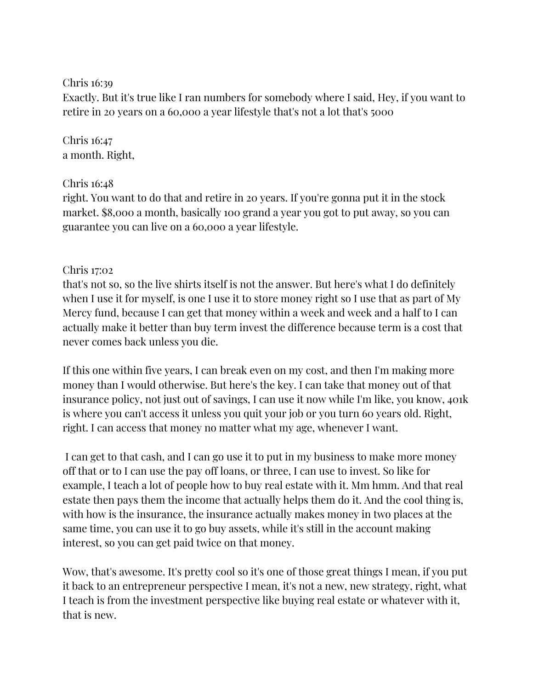Chris 16:39

Exactly. But it's true like I ran numbers for somebody where I said, Hey, if you want to retire in 20 years on a 60,000 a year lifestyle that's not a lot that's 5000

Chris 16:47 a month. Right,

Chris 16:48

right. You want to do that and retire in 20 years. If you're gonna put it in the stock market. \$8,000 a month, basically 100 grand a year you got to put away, so you can guarantee you can live on a 60,000 a year lifestyle.

# Chris 17:02

that's not so, so the live shirts itself is not the answer. But here's what I do definitely when I use it for myself, is one I use it to store money right so I use that as part of My Mercy fund, because I can get that money within a week and week and a half to I can actually make it better than buy term invest the difference because term is a cost that never comes back unless you die.

If this one within five years, I can break even on my cost, and then I'm making more money than I would otherwise. But here's the key. I can take that money out of that insurance policy, not just out of savings, I can use it now while I'm like, you know, 401k is where you can't access it unless you quit your job or you turn 60 years old. Right, right. I can access that money no matter what my age, whenever I want.

I can get to that cash, and I can go use it to put in my business to make more money off that or to I can use the pay off loans, or three, I can use to invest. So like for example, I teach a lot of people how to buy real estate with it. Mm hmm. And that real estate then pays them the income that actually helps them do it. And the cool thing is, with how is the insurance, the insurance actually makes money in two places at the same time, you can use it to go buy assets, while it's still in the account making interest, so you can get paid twice on that money.

Wow, that's awesome. It's pretty cool so it's one of those great things I mean, if you put it back to an entrepreneur perspective I mean, it's not a new, new strategy, right, what I teach is from the investment perspective like buying real estate or whatever with it, that is new.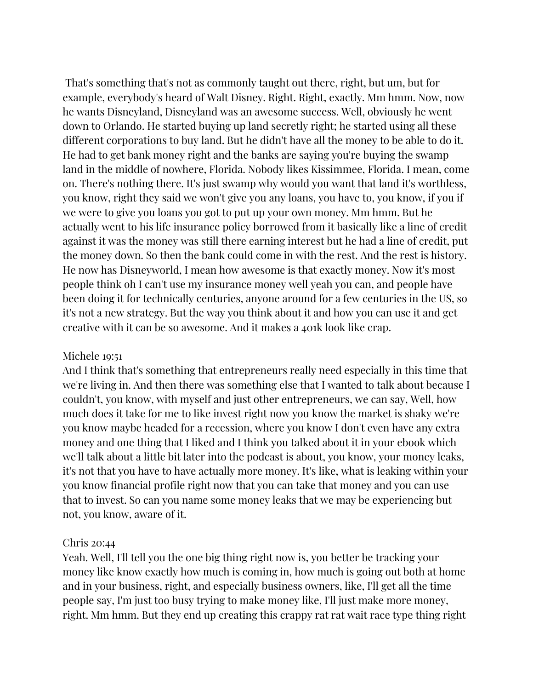That's something that's not as commonly taught out there, right, but um, but for example, everybody's heard of Walt Disney. Right. Right, exactly. Mm hmm. Now, now he wants Disneyland, Disneyland was an awesome success. Well, obviously he went down to Orlando. He started buying up land secretly right; he started using all these different corporations to buy land. But he didn't have all the money to be able to do it. He had to get bank money right and the banks are saying you're buying the swamp land in the middle of nowhere, Florida. Nobody likes Kissimmee, Florida. I mean, come on. There's nothing there. It's just swamp why would you want that land it's worthless, you know, right they said we won't give you any loans, you have to, you know, if you if we were to give you loans you got to put up your own money. Mm hmm. But he actually went to his life insurance policy borrowed from it basically like a line of credit against it was the money was still there earning interest but he had a line of credit, put the money down. So then the bank could come in with the rest. And the rest is history. He now has Disneyworld, I mean how awesome is that exactly money. Now it's most people think oh I can't use my insurance money well yeah you can, and people have been doing it for technically centuries, anyone around for a few centuries in the US, so it's not a new strategy. But the way you think about it and how you can use it and get creative with it can be so awesome. And it makes a 401k look like crap.

#### Michele 19:51

And I think that's something that entrepreneurs really need especially in this time that we're living in. And then there was something else that I wanted to talk about because I couldn't, you know, with myself and just other entrepreneurs, we can say, Well, how much does it take for me to like invest right now you know the market is shaky we're you know maybe headed for a recession, where you know I don't even have any extra money and one thing that I liked and I think you talked about it in your ebook which we'll talk about a little bit later into the podcast is about, you know, your money leaks, it's not that you have to have actually more money. It's like, what is leaking within your you know financial profile right now that you can take that money and you can use that to invest. So can you name some money leaks that we may be experiencing but not, you know, aware of it.

#### Chris 20:44

Yeah. Well, I'll tell you the one big thing right now is, you better be tracking your money like know exactly how much is coming in, how much is going out both at home and in your business, right, and especially business owners, like, I'll get all the time people say, I'm just too busy trying to make money like, I'll just make more money, right. Mm hmm. But they end up creating this crappy rat rat wait race type thing right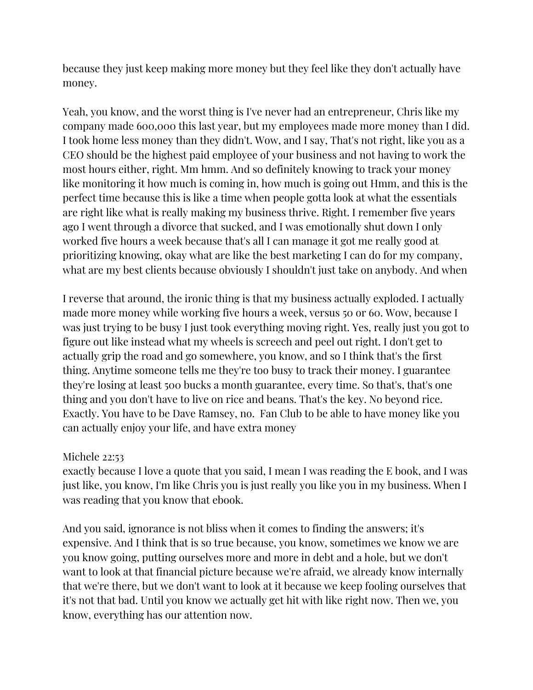because they just keep making more money but they feel like they don't actually have money.

Yeah, you know, and the worst thing is I've never had an entrepreneur, Chris like my company made 600,000 this last year, but my employees made more money than I did. I took home less money than they didn't. Wow, and I say, That's not right, like you as a CEO should be the highest paid employee of your business and not having to work the most hours either, right. Mm hmm. And so definitely knowing to track your money like monitoring it how much is coming in, how much is going out Hmm, and this is the perfect time because this is like a time when people gotta look at what the essentials are right like what is really making my business thrive. Right. I remember five years ago I went through a divorce that sucked, and I was emotionally shut down I only worked five hours a week because that's all I can manage it got me really good at prioritizing knowing, okay what are like the best marketing I can do for my company, what are my best clients because obviously I shouldn't just take on anybody. And when

I reverse that around, the ironic thing is that my business actually exploded. I actually made more money while working five hours a week, versus 50 or 60. Wow, because I was just trying to be busy I just took everything moving right. Yes, really just you got to figure out like instead what my wheels is screech and peel out right. I don't get to actually grip the road and go somewhere, you know, and so I think that's the first thing. Anytime someone tells me they're too busy to track their money. I guarantee they're losing at least 500 bucks a month guarantee, every time. So that's, that's one thing and you don't have to live on rice and beans. That's the key. No beyond rice. Exactly. You have to be Dave Ramsey, no. Fan Club to be able to have money like you can actually enjoy your life, and have extra money

### Michele 22:53

exactly because I love a quote that you said, I mean I was reading the E book, and I was just like, you know, I'm like Chris you is just really you like you in my business. When I was reading that you know that ebook.

And you said, ignorance is not bliss when it comes to finding the answers; it's expensive. And I think that is so true because, you know, sometimes we know we are you know going, putting ourselves more and more in debt and a hole, but we don't want to look at that financial picture because we're afraid, we already know internally that we're there, but we don't want to look at it because we keep fooling ourselves that it's not that bad. Until you know we actually get hit with like right now. Then we, you know, everything has our attention now.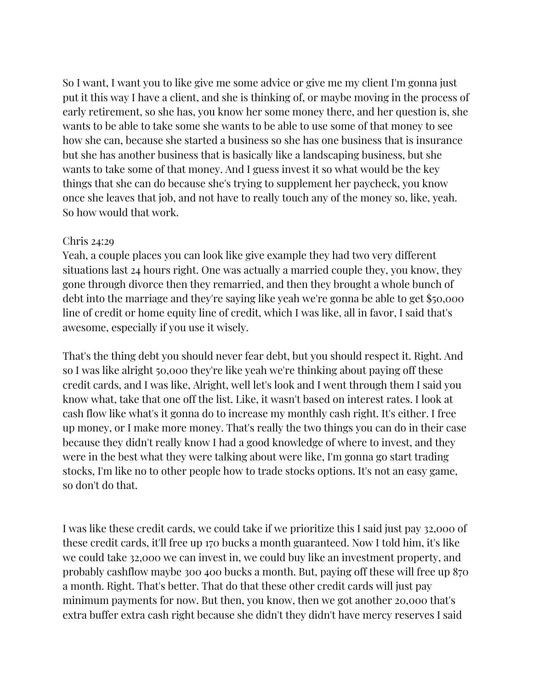So I want, I want you to like give me some advice or give me my client I'm gonna just put it this way I have a client, and she is thinking of, or maybe moving in the process of early retirement, so she has, you know her some money there, and her question is, she wants to be able to take some she wants to be able to use some of that money to see how she can, because she started a business so she has one business that is insurance but she has another business that is basically like a landscaping business, but she wants to take some of that money. And I guess invest it so what would be the key things that she can do because she's trying to supplement her paycheck, you know once she leaves that job, and not have to really touch any of the money so, like, yeah. So how would that work.

### Chris 24:29

Yeah, a couple places you can look like give example they had two very different situations last 24 hours right. One was actually a married couple they, you know, they gone through divorce then they remarried, and then they brought a whole bunch of debt into the marriage and they're saying like yeah we're gonna be able to get \$50,000 line of credit or home equity line of credit, which I was like, all in favor, I said that's awesome, especially if you use it wisely.

That's the thing debt you should never fear debt, but you should respect it. Right. And so I was like alright 50,000 they're like yeah we're thinking about paying off these credit cards, and I was like, Alright, well let's look and I went through them I said you know what, take that one off the list. Like, it wasn't based on interest rates. I look at cash flow like what's it gonna do to increase my monthly cash right. It's either. I free up money, or I make more money. That's really the two things you can do in their case because they didn't really know I had a good knowledge of where to invest, and they were in the best what they were talking about were like, I'm gonna go start trading stocks, I'm like no to other people how to trade stocks options. It's not an easy game, so don't do that.

I was like these credit cards, we could take if we prioritize this I said just pay 32,000 of these credit cards, it'll free up 170 bucks a month guaranteed. Now I told him, it's like we could take 32,000 we can invest in, we could buy like an investment property, and probably cashflow maybe 300 400 bucks a month. But, paying off these will free up 870 a month. Right. That's better. That do that these other credit cards will just pay minimum payments for now. But then, you know, then we got another 20,000 that's extra buffer extra cash right because she didn't they didn't have mercy reserves I said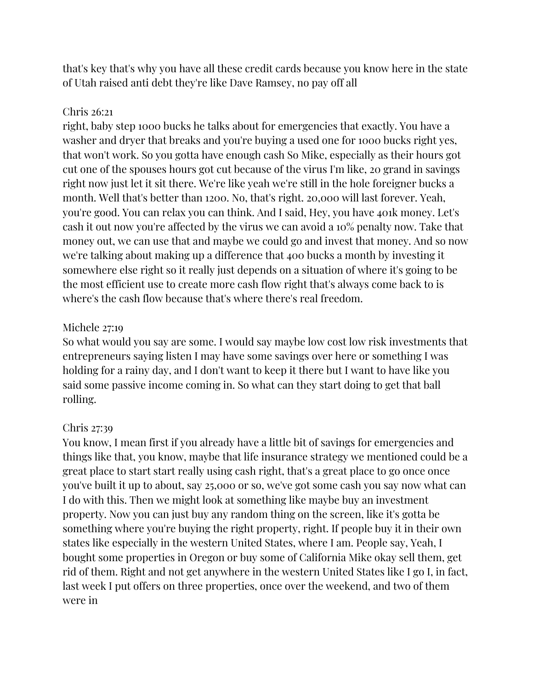that's key that's why you have all these credit cards because you know here in the state of Utah raised anti debt they're like Dave Ramsey, no pay off all

# Chris 26:21

right, baby step 1000 bucks he talks about for emergencies that exactly. You have a washer and dryer that breaks and you're buying a used one for 1000 bucks right yes, that won't work. So you gotta have enough cash So Mike, especially as their hours got cut one of the spouses hours got cut because of the virus I'm like, 20 grand in savings right now just let it sit there. We're like yeah we're still in the hole foreigner bucks a month. Well that's better than 1200. No, that's right. 20,000 will last forever. Yeah, you're good. You can relax you can think. And I said, Hey, you have 401k money. Let's cash it out now you're affected by the virus we can avoid a 10% penalty now. Take that money out, we can use that and maybe we could go and invest that money. And so now we're talking about making up a difference that 400 bucks a month by investing it somewhere else right so it really just depends on a situation of where it's going to be the most efficient use to create more cash flow right that's always come back to is where's the cash flow because that's where there's real freedom.

# Michele 27:19

So what would you say are some. I would say maybe low cost low risk investments that entrepreneurs saying listen I may have some savings over here or something I was holding for a rainy day, and I don't want to keep it there but I want to have like you said some passive income coming in. So what can they start doing to get that ball rolling.

# Chris 27:39

You know, I mean first if you already have a little bit of savings for emergencies and things like that, you know, maybe that life insurance strategy we mentioned could be a great place to start start really using cash right, that's a great place to go once once you've built it up to about, say 25,000 or so, we've got some cash you say now what can I do with this. Then we might look at something like maybe buy an investment property. Now you can just buy any random thing on the screen, like it's gotta be something where you're buying the right property, right. If people buy it in their own states like especially in the western United States, where I am. People say, Yeah, I bought some properties in Oregon or buy some of California Mike okay sell them, get rid of them. Right and not get anywhere in the western United States like I go I, in fact, last week I put offers on three properties, once over the weekend, and two of them were in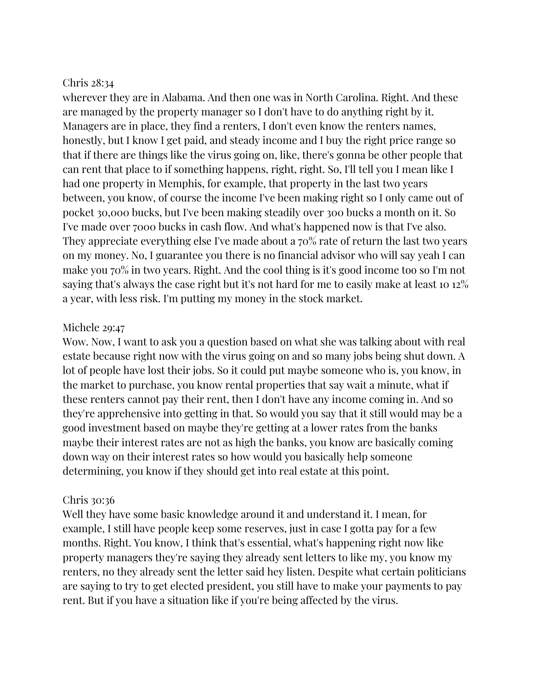#### Chris 28:34

wherever they are in Alabama. And then one was in North Carolina. Right. And these are managed by the property manager so I don't have to do anything right by it. Managers are in place, they find a renters, I don't even know the renters names, honestly, but I know I get paid, and steady income and I buy the right price range so that if there are things like the virus going on, like, there's gonna be other people that can rent that place to if something happens, right, right. So, I'll tell you I mean like I had one property in Memphis, for example, that property in the last two years between, you know, of course the income I've been making right so I only came out of pocket 30,000 bucks, but I've been making steadily over 300 bucks a month on it. So I've made over 7000 bucks in cash flow. And what's happened now is that I've also. They appreciate everything else I've made about a 70% rate of return the last two years on my money. No, I guarantee you there is no financial advisor who will say yeah I can make you 70% in two years. Right. And the cool thing is it's good income too so I'm not saying that's always the case right but it's not hard for me to easily make at least 10 12% a year, with less risk. I'm putting my money in the stock market.

### Michele 29:47

Wow. Now, I want to ask you a question based on what she was talking about with real estate because right now with the virus going on and so many jobs being shut down. A lot of people have lost their jobs. So it could put maybe someone who is, you know, in the market to purchase, you know rental properties that say wait a minute, what if these renters cannot pay their rent, then I don't have any income coming in. And so they're apprehensive into getting in that. So would you say that it still would may be a good investment based on maybe they're getting at a lower rates from the banks maybe their interest rates are not as high the banks, you know are basically coming down way on their interest rates so how would you basically help someone determining, you know if they should get into real estate at this point.

### Chris 30:36

Well they have some basic knowledge around it and understand it. I mean, for example, I still have people keep some reserves, just in case I gotta pay for a few months. Right. You know, I think that's essential, what's happening right now like property managers they're saying they already sent letters to like my, you know my renters, no they already sent the letter said hey listen. Despite what certain politicians are saying to try to get elected president, you still have to make your payments to pay rent. But if you have a situation like if you're being affected by the virus.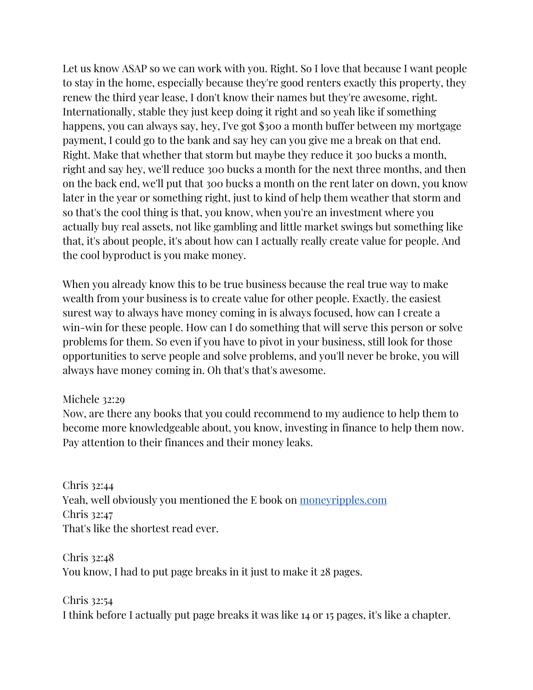Let us know ASAP so we can work with you. Right. So I love that because I want people to stay in the home, especially because they're good renters exactly this property, they renew the third year lease, I don't know their names but they're awesome, right. Internationally, stable they just keep doing it right and so yeah like if something happens, you can always say, hey, I've got \$300 a month buffer between my mortgage payment, I could go to the bank and say hey can you give me a break on that end. Right. Make that whether that storm but maybe they reduce it 300 bucks a month, right and say hey, we'll reduce 300 bucks a month for the next three months, and then on the back end, we'll put that 300 bucks a month on the rent later on down, you know later in the year or something right, just to kind of help them weather that storm and so that's the cool thing is that, you know, when you're an investment where you actually buy real assets, not like gambling and little market swings but something like that, it's about people, it's about how can I actually really create value for people. And the cool byproduct is you make money.

When you already know this to be true business because the real true way to make wealth from your business is to create value for other people. Exactly. the easiest surest way to always have money coming in is always focused, how can I create a win-win for these people. How can I do something that will serve this person or solve problems for them. So even if you have to pivot in your business, still look for those opportunities to serve people and solve problems, and you'll never be broke, you will always have money coming in. Oh that's that's awesome.

### Michele 32:29

Now, are there any books that you could recommend to my audience to help them to become more knowledgeable about, you know, investing in finance to help them now. Pay attention to their finances and their money leaks.

Chris 32:44 Yeah, well obviously you mentioned the E book on [moneyripples.com](https://moneyripples.com/) Chris 32:47 That's like the shortest read ever.

Chris 32:48 You know, I had to put page breaks in it just to make it 28 pages.

Chris 32:54 I think before I actually put page breaks it was like 14 or 15 pages, it's like a chapter.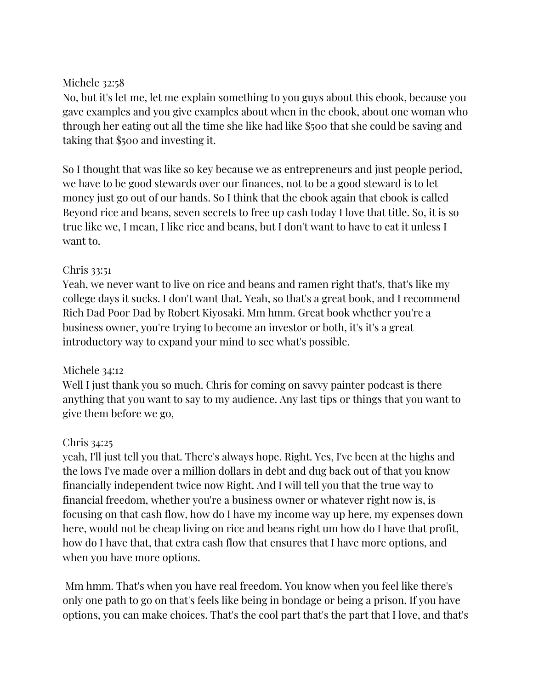# Michele 32:58

No, but it's let me, let me explain something to you guys about this ebook, because you gave examples and you give examples about when in the ebook, about one woman who through her eating out all the time she like had like \$500 that she could be saving and taking that \$500 and investing it.

So I thought that was like so key because we as entrepreneurs and just people period, we have to be good stewards over our finances, not to be a good steward is to let money just go out of our hands. So I think that the ebook again that ebook is called Beyond rice and beans, seven secrets to free up cash today I love that title. So, it is so true like we, I mean, I like rice and beans, but I don't want to have to eat it unless I want to.

# Chris 33:51

Yeah, we never want to live on rice and beans and ramen right that's, that's like my college days it sucks. I don't want that. Yeah, so that's a great book, and I recommend Rich Dad Poor Dad by Robert Kiyosaki. Mm hmm. Great book whether you're a business owner, you're trying to become an investor or both, it's it's a great introductory way to expand your mind to see what's possible.

# Michele 34:12

Well I just thank you so much. Chris for coming on savvy painter podcast is there anything that you want to say to my audience. Any last tips or things that you want to give them before we go,

# Chris 34:25

yeah, I'll just tell you that. There's always hope. Right. Yes, I've been at the highs and the lows I've made over a million dollars in debt and dug back out of that you know financially independent twice now Right. And I will tell you that the true way to financial freedom, whether you're a business owner or whatever right now is, is focusing on that cash flow, how do I have my income way up here, my expenses down here, would not be cheap living on rice and beans right um how do I have that profit, how do I have that, that extra cash flow that ensures that I have more options, and when you have more options.

Mm hmm. That's when you have real freedom. You know when you feel like there's only one path to go on that's feels like being in bondage or being a prison. If you have options, you can make choices. That's the cool part that's the part that I love, and that's